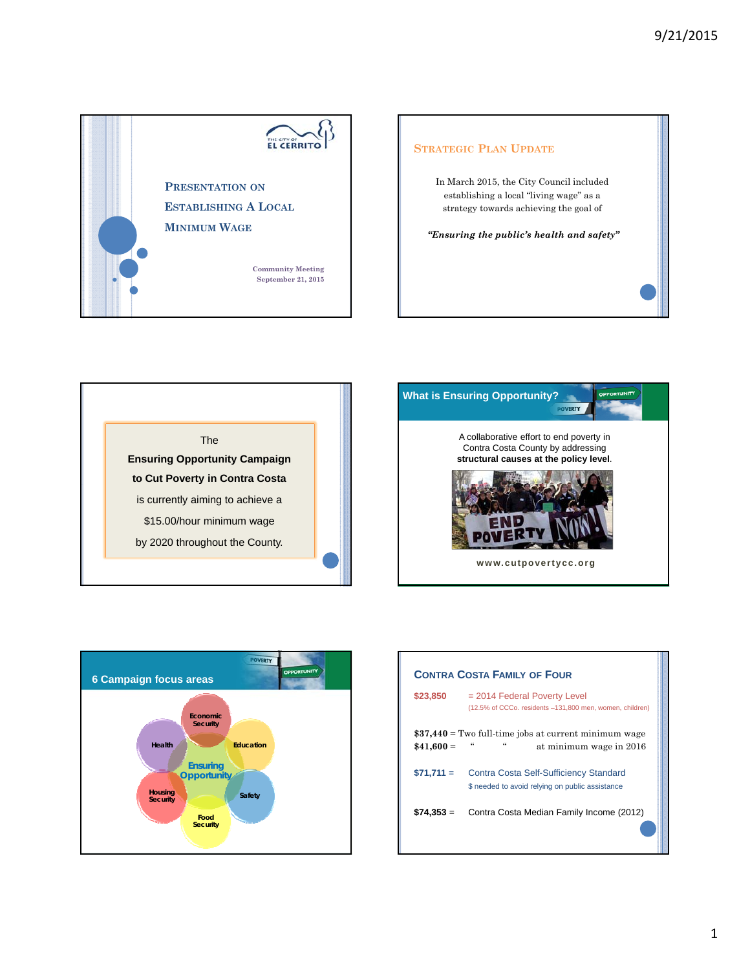









|             | <b>CONTRA COSTA FAMILY OF FOUR</b>                                                                            |
|-------------|---------------------------------------------------------------------------------------------------------------|
| \$23,850    | $= 2014$ Federal Poverty Level<br>(12.5% of CCCo. residents -131,800 men, women, children)                    |
| $$41,600 =$ | $$37,440 =$ Two full-time jobs at current minimum wage<br>$\epsilon$<br>$\epsilon$<br>at minimum wage in 2016 |
| $$71,711 =$ | Contra Costa Self-Sufficiency Standard<br>\$ needed to avoid relying on public assistance                     |
| $$74.353 =$ | Contra Costa Median Family Income (2012)                                                                      |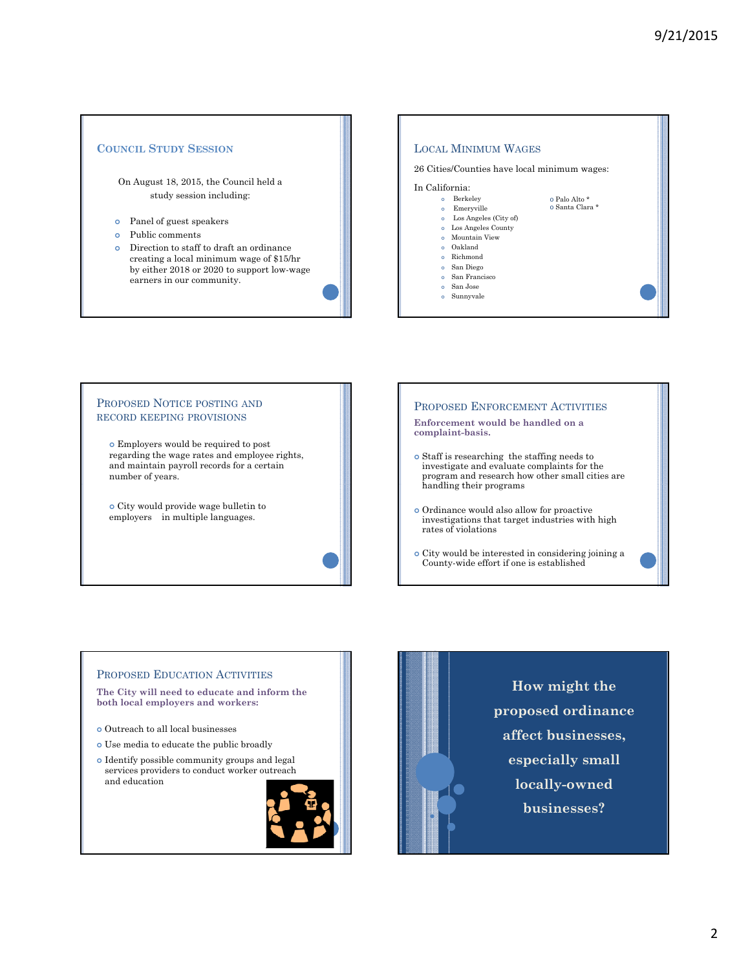

 Employers would be required to post regarding the wage rates and employee rights, and maintain payroll records for a certain number of years.

 City would provide wage bulletin to employers in multiple languages.



 City would be interested in considering joining a County-wide effort if one is established

## PROPOSED EDUCATION ACTIVITIES

**The City will need to educate and inform the both local employers and workers:**

- Outreach to all local businesses
- Use media to educate the public broadly
- $\bullet$  Identify possible community groups and legal services providers to conduct worker outreach and education



**How might the proposed ordinance affect businesses, especially small locally-owned businesses?**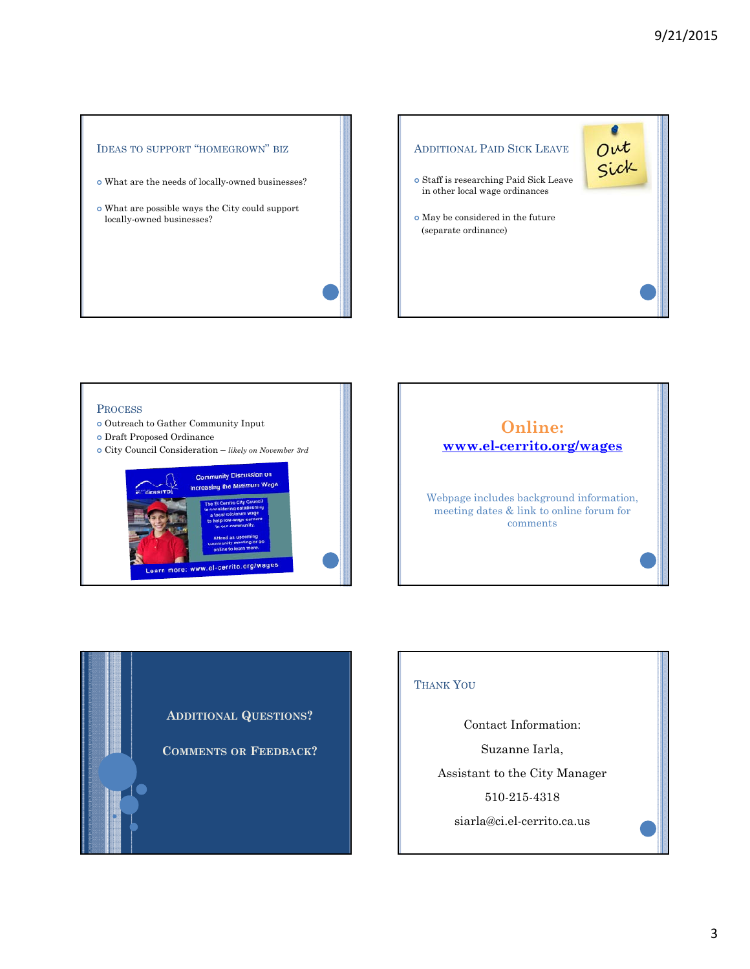

- What are the needs of locally-owned businesses?
- $\bullet$  What are possible ways the City could support locally-owned businesses?

## ADDITIONAL PAID SICK LEAVE

- ADDITIONAL PAID SICK LEAVE Out in other local wage ordinances
- $\bullet$  May be considered in the future (separate ordinance)

## PROCESS

- Outreach to Gather Community Input
- Draft Proposed Ordinance
- City Council Consideration *likely on November 3rd*







## THANK YOU

Contact Information: Suzanne Iarla, Assistant to the City Manager 510-215-4318

siarla@ci.el-cerrito.ca.us